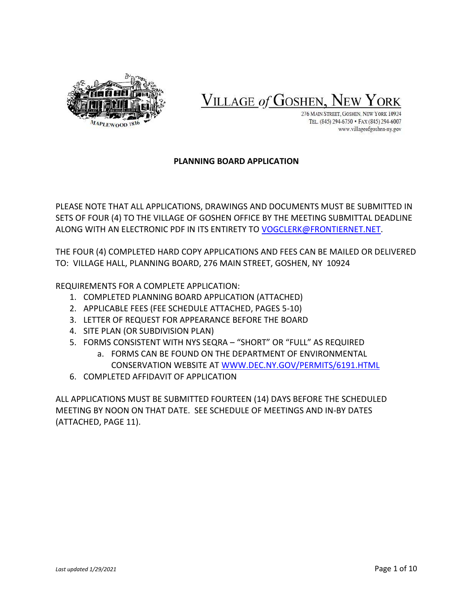

VILLAGE of GOSHEN, I

276 MAIN STREET, GOSHEN, NEW YORK 10924 TEL. (845) 294-6750 · FAX (845) 294-6007 www.villageofgoshen-ny.gov

### **PLANNING BOARD APPLICATION**

PLEASE NOTE THAT ALL APPLICATIONS, DRAWINGS AND DOCUMENTS MUST BE SUBMITTED IN SETS OF FOUR (4) TO THE VILLAGE OF GOSHEN OFFICE BY THE MEETING SUBMITTAL DEADLINE ALONG WITH AN ELECTRONIC PDF IN ITS ENTIRETY TO [VOGCLERK@FRONTIERNET.NET.](mailto:VOGCLERK@FRONTIERNET.NET)

THE FOUR (4) COMPLETED HARD COPY APPLICATIONS AND FEES CAN BE MAILED OR DELIVERED TO: VILLAGE HALL, PLANNING BOARD, 276 MAIN STREET, GOSHEN, NY 10924

REQUIREMENTS FOR A COMPLETE APPLICATION:

- 1. COMPLETED PLANNING BOARD APPLICATION (ATTACHED)
- 2. APPLICABLE FEES (FEE SCHEDULE ATTACHED, PAGES 5-10)
- 3. LETTER OF REQUEST FOR APPEARANCE BEFORE THE BOARD
- 4. SITE PLAN (OR SUBDIVISION PLAN)
- 5. FORMS CONSISTENT WITH NYS SEQRA "SHORT" OR "FULL" AS REQUIRED
	- a. FORMS CAN BE FOUND ON THE DEPARTMENT OF ENVIRONMENTAL CONSERVATION WEBSITE AT [WWW.DEC.NY.GOV/PERMITS/6191.HTML](http://www.dec.ny.gov/PERMITS/6191.HTML)
- 6. COMPLETED AFFIDAVIT OF APPLICATION

ALL APPLICATIONS MUST BE SUBMITTED FOURTEEN (14) DAYS BEFORE THE SCHEDULED MEETING BY NOON ON THAT DATE. SEE SCHEDULE OF MEETINGS AND IN-BY DATES (ATTACHED, PAGE 11).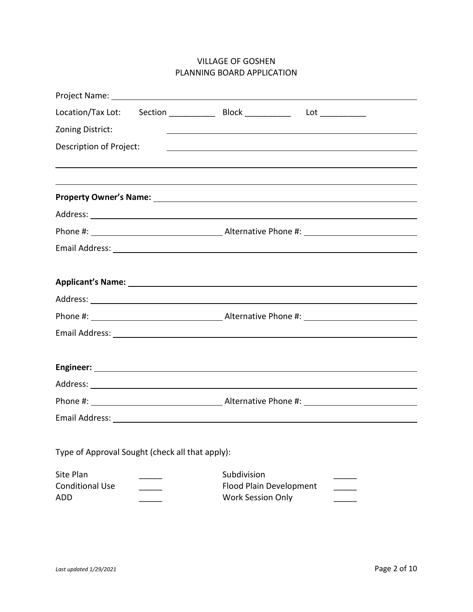## VILLAGE OF GOSHEN PLANNING BOARD APPLICATION

| Location/Tax Lot:                                                                |                                                                    | $Lot \_$                                                                                                         |  |  |
|----------------------------------------------------------------------------------|--------------------------------------------------------------------|------------------------------------------------------------------------------------------------------------------|--|--|
| Zoning District:                                                                 |                                                                    | and the control of the control of the control of the control of the control of the control of the control of the |  |  |
| Description of Project:                                                          |                                                                    | <u> 1989 - Johann Stoff, amerikansk politiker (* 1908)</u>                                                       |  |  |
| ,我们也不会有什么。""我们的人,我们也不会有什么?""我们的人,我们也不会有什么?""我们的人,我们也不会有什么?""我们的人,我们也不会有什么?""我们的人 |                                                                    |                                                                                                                  |  |  |
|                                                                                  |                                                                    |                                                                                                                  |  |  |
|                                                                                  |                                                                    |                                                                                                                  |  |  |
|                                                                                  |                                                                    |                                                                                                                  |  |  |
|                                                                                  |                                                                    |                                                                                                                  |  |  |
|                                                                                  |                                                                    |                                                                                                                  |  |  |
|                                                                                  |                                                                    |                                                                                                                  |  |  |
|                                                                                  |                                                                    |                                                                                                                  |  |  |
|                                                                                  |                                                                    |                                                                                                                  |  |  |
|                                                                                  |                                                                    |                                                                                                                  |  |  |
|                                                                                  |                                                                    |                                                                                                                  |  |  |
|                                                                                  |                                                                    |                                                                                                                  |  |  |
|                                                                                  |                                                                    |                                                                                                                  |  |  |
|                                                                                  |                                                                    |                                                                                                                  |  |  |
|                                                                                  |                                                                    |                                                                                                                  |  |  |
|                                                                                  |                                                                    |                                                                                                                  |  |  |
| Type of Approval Sought (check all that apply):                                  |                                                                    |                                                                                                                  |  |  |
| Site Plan<br><b>Conditional Use</b><br><b>ADD</b>                                | Subdivision<br>Flood Plain Development<br><b>Work Session Only</b> |                                                                                                                  |  |  |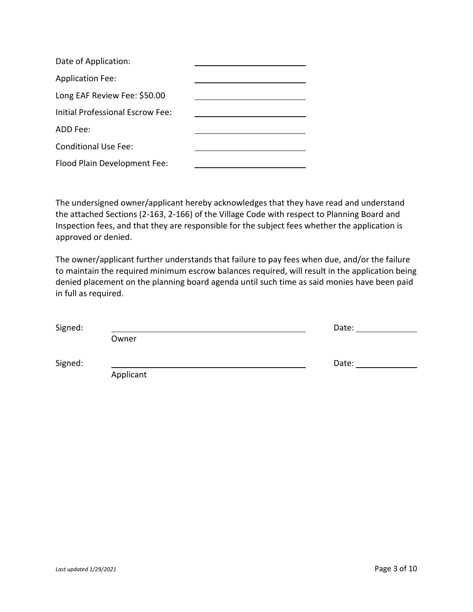| Date of Application:             |  |
|----------------------------------|--|
| <b>Application Fee:</b>          |  |
| Long EAF Review Fee: \$50.00     |  |
| Initial Professional Escrow Fee: |  |
| ADD Fee:                         |  |
| <b>Conditional Use Fee:</b>      |  |
| Flood Plain Development Fee:     |  |

The undersigned owner/applicant hereby acknowledges that they have read and understand the attached Sections (2-163, 2-166) of the Village Code with respect to Planning Board and Inspection fees, and that they are responsible for the subject fees whether the application is approved or denied.

The owner/applicant further understands that failure to pay fees when due, and/or the failure to maintain the required minimum escrow balances required, will result in the application being denied placement on the planning board agenda until such time as said monies have been paid in full as required.

| Signed: |           | Date: |
|---------|-----------|-------|
|         | Owner     |       |
| Signed: |           | Date: |
|         | Applicant |       |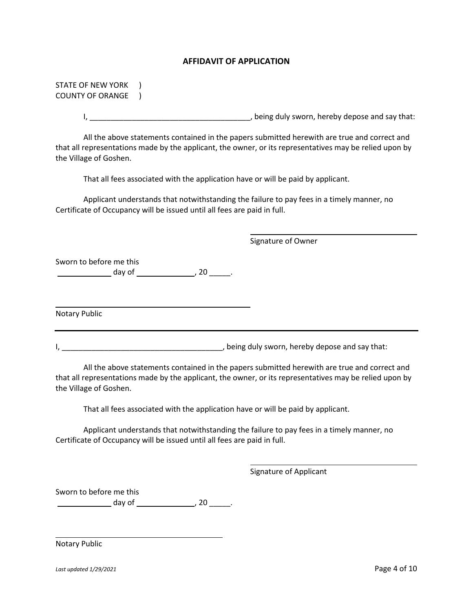#### **AFFIDAVIT OF APPLICATION**

| <b>STATE OF NEW YORK</b>                                                                                                                                                                                                          |
|-----------------------------------------------------------------------------------------------------------------------------------------------------------------------------------------------------------------------------------|
| <b>COUNTY OF ORANGE</b>                                                                                                                                                                                                           |
|                                                                                                                                                                                                                                   |
| All the above statements contained in the papers submitted herewith are true and correct and<br>that all representations made by the applicant, the owner, or its representatives may be relied upon by<br>the Village of Goshen. |
| That all fees associated with the application have or will be paid by applicant.                                                                                                                                                  |
| Applicant understands that notwithstanding the failure to pay fees in a timely manner, no<br>Certificate of Occupancy will be issued until all fees are paid in full.                                                             |
| Signature of Owner                                                                                                                                                                                                                |
| Sworn to before me this                                                                                                                                                                                                           |
| Notary Public                                                                                                                                                                                                                     |
|                                                                                                                                                                                                                                   |
| All the above statements contained in the papers submitted herewith are true and correct and<br>that all representations made by the applicant, the owner, or its representatives may be relied upon by<br>the Village of Goshen. |
| That all fees associated with the application have or will be paid by applicant.                                                                                                                                                  |
| Applicant understands that notwithstanding the failure to pay fees in a timely manner, no                                                                                                                                         |

Certificate of Occupancy will be issued until all fees are paid in full.

Signature of Applicant

Sworn to before me this  $\frac{d}{dx}$  day of  $\frac{20}{x}$ .

Notary Public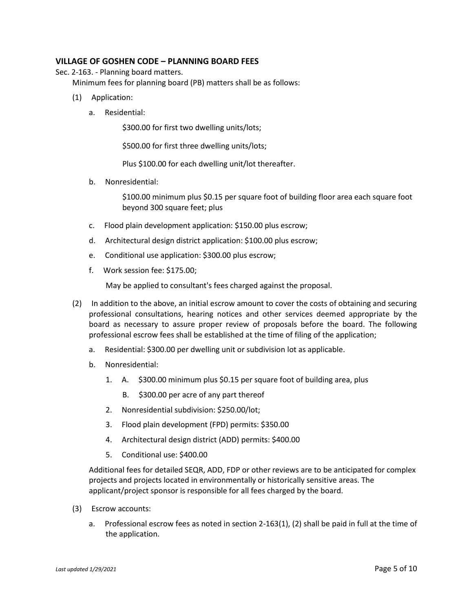#### **VILLAGE OF GOSHEN CODE – PLANNING BOARD FEES**

Sec. 2-163. - Planning board matters.

Minimum fees for planning board (PB) matters shall be as follows:

- (1) Application:
	- a. Residential:

\$300.00 for first two dwelling units/lots;

\$500.00 for first three dwelling units/lots;

Plus \$100.00 for each dwelling unit/lot thereafter.

b. Nonresidential:

\$100.00 minimum plus \$0.15 per square foot of building floor area each square foot beyond 300 square feet; plus

- c. Flood plain development application: \$150.00 plus escrow;
- d. Architectural design district application: \$100.00 plus escrow;
- e. Conditional use application: \$300.00 plus escrow;
- f. Work session fee: \$175.00;

May be applied to consultant's fees charged against the proposal.

- (2) In addition to the above, an initial escrow amount to cover the costs of obtaining and securing professional consultations, hearing notices and other services deemed appropriate by the board as necessary to assure proper review of proposals before the board. The following professional escrow fees shall be established at the time of filing of the application;
	- a. Residential: \$300.00 per dwelling unit or subdivision lot as applicable.
	- b. Nonresidential:
		- 1. A. \$300.00 minimum plus \$0.15 per square foot of building area, plus
			- B. \$300.00 per acre of any part thereof
		- 2. Nonresidential subdivision: \$250.00/lot;
		- 3. Flood plain development (FPD) permits: \$350.00
		- 4. Architectural design district (ADD) permits: \$400.00
		- 5. Conditional use: \$400.00

Additional fees for detailed SEQR, ADD, FDP or other reviews are to be anticipated for complex projects and projects located in environmentally or historically sensitive areas. The applicant/project sponsor is responsible for all fees charged by the board.

- (3) Escrow accounts:
	- a. Professional escrow fees as noted in section 2-163(1), (2) shall be paid in full at the time of the application.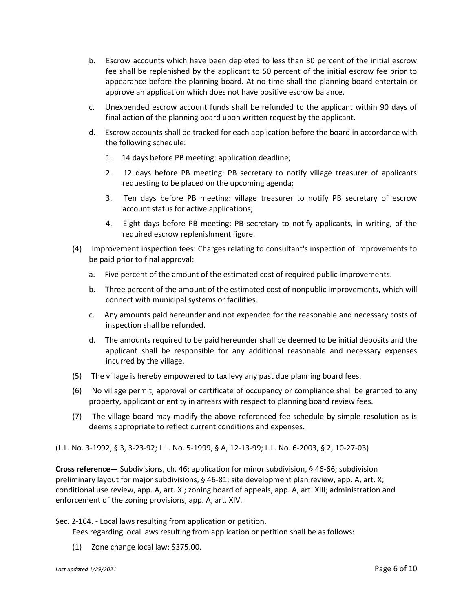- b. Escrow accounts which have been depleted to less than 30 percent of the initial escrow fee shall be replenished by the applicant to 50 percent of the initial escrow fee prior to appearance before the planning board. At no time shall the planning board entertain or approve an application which does not have positive escrow balance.
- c. Unexpended escrow account funds shall be refunded to the applicant within 90 days of final action of the planning board upon written request by the applicant.
- d. Escrow accounts shall be tracked for each application before the board in accordance with the following schedule:
	- 1. 14 days before PB meeting: application deadline;
	- 2. 12 days before PB meeting: PB secretary to notify village treasurer of applicants requesting to be placed on the upcoming agenda;
	- 3. Ten days before PB meeting: village treasurer to notify PB secretary of escrow account status for active applications;
	- 4. Eight days before PB meeting: PB secretary to notify applicants, in writing, of the required escrow replenishment figure.
- (4) Improvement inspection fees: Charges relating to consultant's inspection of improvements to be paid prior to final approval:
	- a. Five percent of the amount of the estimated cost of required public improvements.
	- b. Three percent of the amount of the estimated cost of nonpublic improvements, which will connect with municipal systems or facilities.
	- c. Any amounts paid hereunder and not expended for the reasonable and necessary costs of inspection shall be refunded.
	- d. The amounts required to be paid hereunder shall be deemed to be initial deposits and the applicant shall be responsible for any additional reasonable and necessary expenses incurred by the village.
- (5) The village is hereby empowered to tax levy any past due planning board fees.
- (6) No village permit, approval or certificate of occupancy or compliance shall be granted to any property, applicant or entity in arrears with respect to planning board review fees.
- (7) The village board may modify the above referenced fee schedule by simple resolution as is deems appropriate to reflect current conditions and expenses.

(L.L. No. 3-1992, § 3, 3-23-92; L.L. No. 5-1999, § A, 12-13-99; L.L. No. 6-2003, § 2, 10-27-03)

**Cross reference—** Subdivisions, ch. 46; application for minor subdivision, § 46-66; subdivision preliminary layout for major subdivisions, § 46-81; site development plan review, app. A, art. X; conditional use review, app. A, art. XI; zoning board of appeals, app. A, art. XIII; administration and enforcement of the zoning provisions, app. A, art. XIV.

Sec. 2-164. - Local laws resulting from application or petition.

Fees regarding local laws resulting from application or petition shall be as follows:

(1) Zone change local law: \$375.00.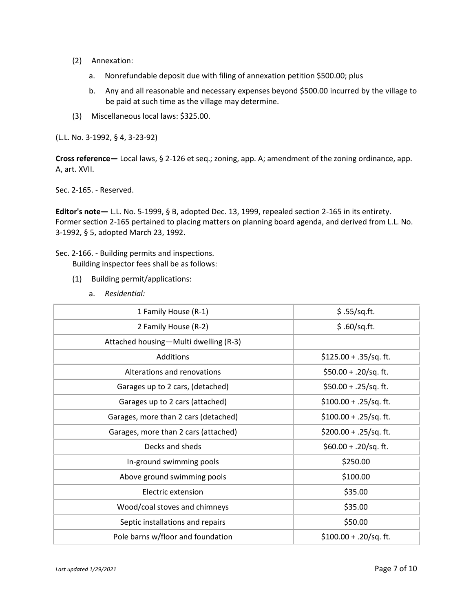- (2) Annexation:
	- a. Nonrefundable deposit due with filing of annexation petition \$500.00; plus
	- b. Any and all reasonable and necessary expenses beyond \$500.00 incurred by the village to be paid at such time as the village may determine.
- (3) Miscellaneous local laws: \$325.00.

(L.L. No. 3-1992, § 4, 3-23-92)

**Cross reference—** Local laws, § 2-126 et seq.; zoning, app. A; amendment of the zoning ordinance, app. A, art. XVII.

Sec. 2-165. - Reserved.

**Editor's note—** L.L. No. 5-1999, § B, adopted Dec. 13, 1999, repealed section 2-165 in its entirety. Former section 2-165 pertained to placing matters on planning board agenda, and derived from L.L. No. 3-1992, § 5, adopted March 23, 1992.

Sec. 2-166. - Building permits and inspections.

Building inspector fees shall be as follows:

- (1) Building permit/applications:
	- a. *Residential:*

| 1 Family House (R-1)                  | \$.55/sq.fit.            |
|---------------------------------------|--------------------------|
| 2 Family House (R-2)                  | \$.60/sq.fit.            |
| Attached housing-Multi dwelling (R-3) |                          |
| Additions                             | $$125.00 + .35$ /sq. ft. |
| Alterations and renovations           | \$50.00 + .20/sq. ft.    |
| Garages up to 2 cars, (detached)      | $$50.00 + .25$ /sq. ft.  |
| Garages up to 2 cars (attached)       | $$100.00 + .25$ /sq. ft. |
| Garages, more than 2 cars (detached)  | $$100.00 + .25$ /sq. ft. |
| Garages, more than 2 cars (attached)  | \$200.00 + .25/sq. ft.   |
| Decks and sheds                       | \$60.00 + .20/sq. ft.    |
| In-ground swimming pools              | \$250.00                 |
| Above ground swimming pools           | \$100.00                 |
| Electric extension                    | \$35.00                  |
| Wood/coal stoves and chimneys         | \$35.00                  |
| Septic installations and repairs      | \$50.00                  |
| Pole barns w/floor and foundation     | $$100.00 + .20$ /sq. ft. |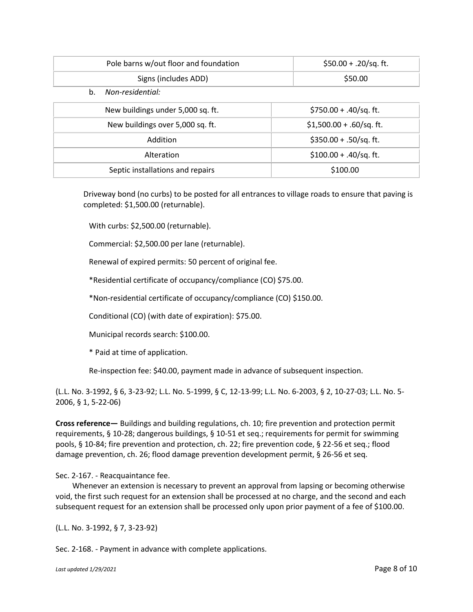|    | Pole barns w/out floor and foundation | $$50.00 + .20$ /sq. ft.    |
|----|---------------------------------------|----------------------------|
|    | Signs (includes ADD)                  | \$50.00                    |
| b. | Non-residential:                      |                            |
|    | New buildings under 5,000 sq. ft.     | \$750.00 + .40/sq. ft.     |
|    | New buildings over 5,000 sq. ft.      | $$1,500.00 + .60$ /sq. ft. |
|    | Addition                              | $$350.00 + .50$ /sq. ft.   |
|    | Alteration                            | $$100.00 + .40$ /sq.ft.    |
|    | Septic installations and repairs      | \$100.00                   |

Driveway bond (no curbs) to be posted for all entrances to village roads to ensure that paving is completed: \$1,500.00 (returnable).

With curbs: \$2,500.00 (returnable).

Commercial: \$2,500.00 per lane (returnable).

Renewal of expired permits: 50 percent of original fee.

\*Residential certificate of occupancy/compliance (CO) \$75.00.

\*Non-residential certificate of occupancy/compliance (CO) \$150.00.

Conditional (CO) (with date of expiration): \$75.00.

Municipal records search: \$100.00.

\* Paid at time of application.

Re-inspection fee: \$40.00, payment made in advance of subsequent inspection.

(L.L. No. 3-1992, § 6, 3-23-92; L.L. No. 5-1999, § C, 12-13-99; L.L. No. 6-2003, § 2, 10-27-03; L.L. No. 5- 2006, § 1, 5-22-06)

**Cross reference—** Buildings and building regulations, ch. 10; fire prevention and protection permit requirements, § 10-28; dangerous buildings, § 10-51 et seq.; requirements for permit for swimming pools, § 10-84; fire prevention and protection, ch. 22; fire prevention code, § 22-56 et seq.; flood damage prevention, ch. 26; flood damage prevention development permit, § 26-56 et seq.

Sec. 2-167. - Reacquaintance fee.

Whenever an extension is necessary to prevent an approval from lapsing or becoming otherwise void, the first such request for an extension shall be processed at no charge, and the second and each subsequent request for an extension shall be processed only upon prior payment of a fee of \$100.00.

(L.L. No. 3-1992, § 7, 3-23-92)

Sec. 2-168. - Payment in advance with complete applications.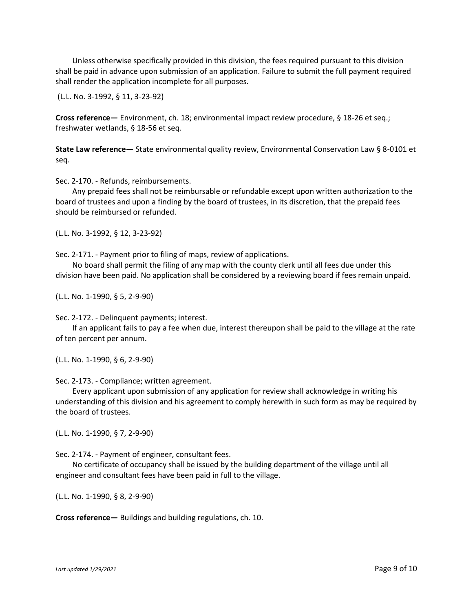Unless otherwise specifically provided in this division, the fees required pursuant to this division shall be paid in advance upon submission of an application. Failure to submit the full payment required shall render the application incomplete for all purposes.

(L.L. No. 3-1992, § 11, 3-23-92)

**Cross reference—** Environment, ch. 18; environmental impact review procedure, § 18-26 et seq.; freshwater wetlands, § 18-56 et seq.

**State Law reference—** State environmental quality review, Environmental Conservation Law § 8-0101 et seq.

Sec. 2-170. - Refunds, reimbursements.

Any prepaid fees shall not be reimbursable or refundable except upon written authorization to the board of trustees and upon a finding by the board of trustees, in its discretion, that the prepaid fees should be reimbursed or refunded.

(L.L. No. 3-1992, § 12, 3-23-92)

Sec. 2-171. - Payment prior to filing of maps, review of applications.

No board shall permit the filing of any map with the county clerk until all fees due under this division have been paid. No application shall be considered by a reviewing board if fees remain unpaid.

(L.L. No. 1-1990, § 5, 2-9-90)

Sec. 2-172. - Delinquent payments; interest.

If an applicant fails to pay a fee when due, interest thereupon shall be paid to the village at the rate of ten percent per annum.

(L.L. No. 1-1990, § 6, 2-9-90)

Sec. 2-173. - Compliance; written agreement.

Every applicant upon submission of any application for review shall acknowledge in writing his understanding of this division and his agreement to comply herewith in such form as may be required by the board of trustees.

(L.L. No. 1-1990, § 7, 2-9-90)

Sec. 2-174. - Payment of engineer, consultant fees.

No certificate of occupancy shall be issued by the building department of the village until all engineer and consultant fees have been paid in full to the village.

(L.L. No. 1-1990, § 8, 2-9-90)

**Cross reference—** Buildings and building regulations, ch. 10.